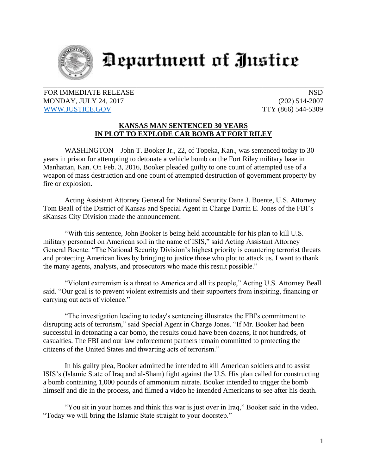

## **Department of Justice**

FOR IMMEDIATE RELEASE NSD MONDAY, JULY 24, 2017 (202) 514-2007 [WWW.JUSTICE.GOV](http://www.justice.gov/) TTY (866) 544-5309

## **KANSAS MAN SENTENCED 30 YEARS IN PLOT TO EXPLODE CAR BOMB AT FORT RILEY**

WASHINGTON – John T. Booker Jr., 22, of Topeka, Kan., was sentenced today to 30 years in prison for attempting to detonate a vehicle bomb on the Fort Riley military base in Manhattan, Kan. On Feb. 3, 2016, Booker pleaded guilty to one count of attempted use of a weapon of mass destruction and one count of attempted destruction of government property by fire or explosion.

Acting Assistant Attorney General for National Security Dana J. Boente, U.S. Attorney Tom Beall of the District of Kansas and Special Agent in Charge Darrin E. Jones of the FBI's sKansas City Division made the announcement.

"With this sentence, John Booker is being held accountable for his plan to kill U.S. military personnel on American soil in the name of ISIS," said Acting Assistant Attorney General Boente. "The National Security Division's highest priority is countering terrorist threats and protecting American lives by bringing to justice those who plot to attack us. I want to thank the many agents, analysts, and prosecutors who made this result possible."

"Violent extremism is a threat to America and all its people," Acting U.S. Attorney Beall said. "Our goal is to prevent violent extremists and their supporters from inspiring, financing or carrying out acts of violence."

"The investigation leading to today's sentencing illustrates the FBI's commitment to disrupting acts of terrorism," said Special Agent in Charge Jones. "If Mr. Booker had been successful in detonating a car bomb, the results could have been dozens, if not hundreds, of casualties. The FBI and our law enforcement partners remain committed to protecting the citizens of the United States and thwarting acts of terrorism."

In his guilty plea, Booker admitted he intended to kill American soldiers and to assist ISIS's (Islamic State of Iraq and al-Sham) fight against the U.S. His plan called for constructing a bomb containing 1,000 pounds of ammonium nitrate. Booker intended to trigger the bomb himself and die in the process, and filmed a video he intended Americans to see after his death.

"You sit in your homes and think this war is just over in Iraq," Booker said in the video. "Today we will bring the Islamic State straight to your doorstep."